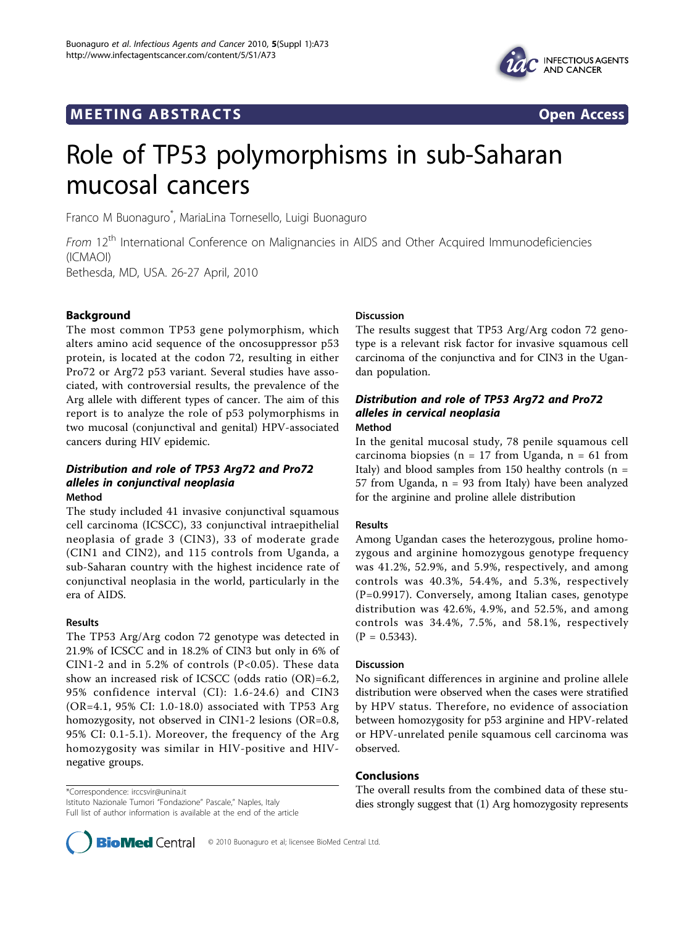



# Role of TP53 polymorphisms in sub-Saharan mucosal cancers

Franco M Buonaguro\* , MariaLina Tornesello, Luigi Buonaguro

From 12<sup>th</sup> International Conference on Malignancies in AIDS and Other Acquired Immunodeficiencies (ICMAOI)

Bethesda, MD, USA. 26-27 April, 2010

# Background

The most common TP53 gene polymorphism, which alters amino acid sequence of the oncosuppressor p53 protein, is located at the codon 72, resulting in either Pro72 or Arg72 p53 variant. Several studies have associated, with controversial results, the prevalence of the Arg allele with different types of cancer. The aim of this report is to analyze the role of p53 polymorphisms in two mucosal (conjunctival and genital) HPV-associated cancers during HIV epidemic.

## Distribution and role of TP53 Arg72 and Pro72 alleles in conjunctival neoplasia Method

The study included 41 invasive conjunctival squamous cell carcinoma (ICSCC), 33 conjunctival intraepithelial neoplasia of grade 3 (CIN3), 33 of moderate grade (CIN1 and CIN2), and 115 controls from Uganda, a sub-Saharan country with the highest incidence rate of conjunctival neoplasia in the world, particularly in the era of AIDS.

#### Results

The TP53 Arg/Arg codon 72 genotype was detected in 21.9% of ICSCC and in 18.2% of CIN3 but only in 6% of CIN1-2 and in 5.2% of controls (P<0.05). These data show an increased risk of ICSCC (odds ratio (OR)=6.2, 95% confidence interval (CI): 1.6-24.6) and CIN3 (OR=4.1, 95% CI: 1.0-18.0) associated with TP53 Arg homozygosity, not observed in CIN1-2 lesions (OR=0.8, 95% CI: 0.1-5.1). Moreover, the frequency of the Arg homozygosity was similar in HIV-positive and HIVnegative groups.

\*Correspondence: [irccsvir@unina.it](mailto:irccsvir@unina.it) Istituto Nazionale Tumori "Fondazione" Pascale," Naples, Italy

Full list of author information is available at the end of the article

# Discussion

The results suggest that TP53 Arg/Arg codon 72 genotype is a relevant risk factor for invasive squamous cell carcinoma of the conjunctiva and for CIN3 in the Ugandan population.

## Distribution and role of TP53 Arg72 and Pro72 alleles in cervical neoplasia Method

In the genital mucosal study, 78 penile squamous cell carcinoma biopsies (n = 17 from Uganda, n = 61 from Italy) and blood samples from 150 healthy controls ( $n =$ 57 from Uganda,  $n = 93$  from Italy) have been analyzed for the arginine and proline allele distribution

## Results

Among Ugandan cases the heterozygous, proline homozygous and arginine homozygous genotype frequency was 41.2%, 52.9%, and 5.9%, respectively, and among controls was 40.3%, 54.4%, and 5.3%, respectively (P=0.9917). Conversely, among Italian cases, genotype distribution was 42.6%, 4.9%, and 52.5%, and among controls was 34.4%, 7.5%, and 58.1%, respectively  $(P = 0.5343).$ 

#### Discussion

No significant differences in arginine and proline allele distribution were observed when the cases were stratified by HPV status. Therefore, no evidence of association between homozygosity for p53 arginine and HPV-related or HPV-unrelated penile squamous cell carcinoma was observed.

# Conclusions

The overall results from the combined data of these studies strongly suggest that (1) Arg homozygosity represents